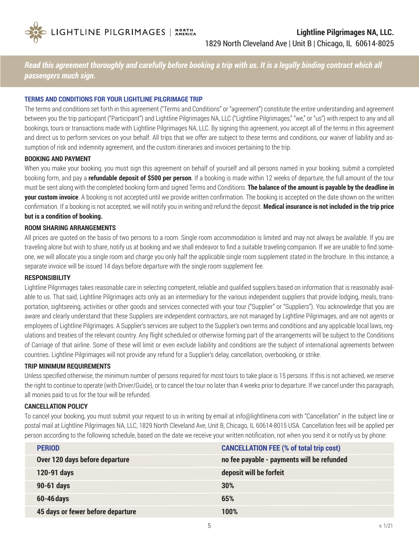

*Read this agreement thoroughly and carefully before booking a trip with us. It is a legally binding contract which all passengers much sign.*

### **TERMS AND CONDITIONS FOR YOUR LIGHTLINE PILGRIMAGE TRIP**

The terms and conditions set forth in this agreement ("Terms and Conditions" or "agreement") constitute the entire understanding and agreement between you the trip participant ("Participant") and Lightline Pilgrimages NA, LLC ("Lightline Pilgrimages," "we," or "us") with respect to any and all bookings, tours or transactions made with Lightline Pilgrimages NA, LLC. By signing this agreement, you accept all of the terms in this agreement and direct us to perform services on your behalf. All trips that we offer are subject to these terms and conditions, our waiver of liability and assumption of risk and indemnity agreement, and the custom itineraries and invoices pertaining to the trip.

### **BOOKING AND PAYMENT**

When you make your booking, you must sign this agreement on behalf of yourself and all persons named in your booking, submit a completed booking form, and pay a **refundable deposit of \$500 per person**. If a booking is made within 12 weeks of departure, the full amount of the tour must be sent along with the completed booking form and signed Terms and Conditions. **The balance of the amount is payable by the deadline in your custom invoice**. A booking is not accepted until we provide written confirmation. The booking is accepted on the date shown on the written confirmation. If a booking is not accepted, we will notify you in writing and refund the deposit. **Medical insurance is not included in the trip price but is a condition of booking.**

#### **ROOM SHARING ARRANGEMENTS**

All prices are quoted on the basis of two persons to a room. Single room accommodation is limited and may not always be available. If you are traveling alone but wish to share, notify us at booking and we shall endeavor to find a suitable traveling companion. If we are unable to find someone, we will allocate you a single room and charge you only half the applicable single room supplement stated in the brochure. In this instance, a separate invoice will be issued 14 days before departure with the single room supplement fee.

#### **RESPONSIBILITY**

Lightline Pilgrimages takes reasonable care in selecting competent, reliable and qualified suppliers based on information that is reasonably available to us. That said, Lightline Pilgrimages acts only as an intermediary for the various independent suppliers that provide lodging, meals, transportation, sightseeing, activities or other goods and services connected with your tour ("Supplier" or "Suppliers"). You acknowledge that you are aware and clearly understand that these Suppliers are independent contractors, are not managed by Lightline Pilgrimages, and are not agents or employees of Lightline Pilgrimages. A Supplier's services are subject to the Supplier's own terms and conditions and any applicable local laws, regulations and treaties of the relevant country. Any flight scheduled or otherwise forming part of the arrangements will be subject to the Conditions of Carriage of that airline. Some of these will limit or even exclude liability and conditions are the subject of international agreements between countries. Lightline Pilgrimages will not provide any refund for a Supplier's delay, cancellation, overbooking, or strike.

## **TRIP MINIMUM REQUIREMENTS**

Unless specified otherwise, the minimum number of persons required for most tours to take place is 15 persons. If this is not achieved, we reserve the right to continue to operate (with Driver/Guide), or to cancel the tour no later than 4 weeks prior to departure. If we cancel under this paragraph, all monies paid to us for the tour will be refunded.

## **CANCELLATION POLICY**

To cancel your booking, you must submit your request to us in writing by email at info@lightlinena.com with "Cancellation" in the subject line or postal mail at Lightline Pilgrimages NA, LLC, 1829 North Cleveland Ave, Unit B, Chicago, IL 60614-8015 USA. Cancellation fees will be applied per person according to the following schedule, based on the date we receive your written notification, not when you send it or notify us by phone:

| <b>PERIOD</b>                     | <b>CANCELLATION FEE (% of total trip cost)</b> |
|-----------------------------------|------------------------------------------------|
| Over 120 days before departure    | no fee payable - payments will be refunded     |
| 120-91 days                       | deposit will be forfeit                        |
| 90-61 days                        | 30%                                            |
| 60-46 days                        | 65%                                            |
| 45 days or fewer before departure | 100%                                           |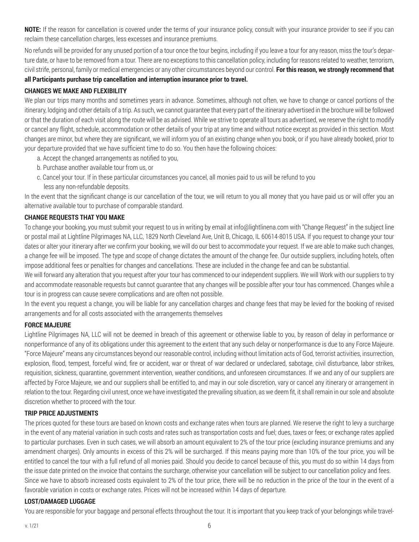**NOTE:** If the reason for cancellation is covered under the terms of your insurance policy, consult with your insurance provider to see if you can reclaim these cancellation charges, less excesses and insurance premiums.

No refunds will be provided for any unused portion of a tour once the tour begins, including if you leave a tour for any reason, miss the tour's departure date, or have to be removed from a tour. There are no exceptions to this cancellation policy, including for reasons related to weather, terrorism, civil strife, personal, family or medical emergencies or any other circumstances beyond our control. **For this reason, we strongly recommend that all Participants purchase trip cancellation and interruption insurance prior to travel.**

# **CHANGES WE MAKE AND FLEXIBILITY**

We plan our trips many months and sometimes years in advance. Sometimes, although not often, we have to change or cancel portions of the itinerary, lodging and other details of a trip. As such, we cannot guarantee that every part of the itinerary advertised in the brochure will be followed or that the duration of each visit along the route will be as advised. While we strive to operate all tours as advertised, we reserve the right to modify or cancel any flight, schedule, accommodation or other details of your trip at any time and without notice except as provided in this section. Most changes are minor, but where they are significant, we will inform you of an existing change when you book, or if you have already booked, prior to your departure provided that we have sufficient time to do so. You then have the following choices:

- a. Accept the changed arrangements as notified to you,
- b. Purchase another available tour from us, or
- c. Cancel your tour. If in these particular circumstances you cancel, all monies paid to us will be refund to you
- less any non-refundable deposits.

In the event that the significant change is our cancellation of the tour, we will return to you all money that you have paid us or will offer you an alternative available tour to purchase of comparable standard.

## **CHANGE REQUESTS THAT YOU MAKE**

To change your booking, you must submit your request to us in writing by email at info@lightlinena.com with "Change Request" in the subject line or postal mail at Lightline Pilgrimages NA, LLC, 1829 North Cleveland Ave, Unit B, Chicago, IL 60614-8015 USA. If you request to change your tour dates or alter your itinerary after we confirm your booking, we will do our best to accommodate your request. If we are able to make such changes, a change fee will be imposed. The type and scope of change dictates the amount of the change fee. Our outside suppliers, including hotels, often impose additional fees or penalties for changes and cancellations. These are included in the change fee and can be substantial.

We will forward any alteration that you request after your tour has commenced to our independent suppliers. We will Work with our suppliers to try and accommodate reasonable requests but cannot guarantee that any changes will be possible after your tour has commenced. Changes while a tour is in progress can cause severe complications and are often not possible.

In the event you request a change, you will be liable for any cancellation charges and change fees that may be levied for the booking of revised arrangements and for all costs associated with the arrangements themselves

### **FORCE MAJEURE**

Lightline Pilgrimages NA, LLC will not be deemed in breach of this agreement or otherwise liable to you, by reason of delay in performance or nonperformance of any of its obligations under this agreement to the extent that any such delay or nonperformance is due to any Force Majeure. "Force Majeure" means any circumstances beyond our reasonable control, including without limitation acts of God, terrorist activities, insurrection, explosion, flood, tempest, forceful wind, fire or accident, war or threat of war declared or undeclared, sabotage, civil disturbance, labor strikes, requisition, sickness, quarantine, government intervention, weather conditions, and unforeseen circumstances. If we and any of our suppliers are affected by Force Majeure, we and our suppliers shall be entitled to, and may in our sole discretion, vary or cancel any itinerary or arrangement in relation to the tour. Regarding civil unrest, once we have investigated the prevailing situation, as we deem fit, it shall remain in our sole and absolute discretion whether to proceed with the tour.

### **TRIP PRICE ADJUSTMENTS**

The prices quoted for these tours are based on known costs and exchange rates when tours are planned. We reserve the right to levy a surcharge in the event of any material variation in such costs and rates such as transportation costs and fuel; dues, taxes or fees; or exchange rates applied to particular purchases. Even in such cases, we will absorb an amount equivalent to 2% of the tour price (excluding insurance premiums and any amendment charges). Only amounts in excess of this 2% will be surcharged. If this means paying more than 10% of the tour price, you will be entitled to cancel the tour with a full refund of all monies paid. Should you decide to cancel because of this, you must do so within 14 days from the issue date printed on the invoice that contains the surcharge, otherwise your cancellation will be subject to our cancellation policy and fees. Since we have to absorb increased costs equivalent to 2% of the tour price, there will be no reduction in the price of the tour in the event of a favorable variation in costs or exchange rates. Prices will not be increased within 14 days of departure.

### **LOST/DAMAGED LUGGAGE**

You are responsible for your baggage and personal effects throughout the tour. It is important that you keep track of your belongings while travel-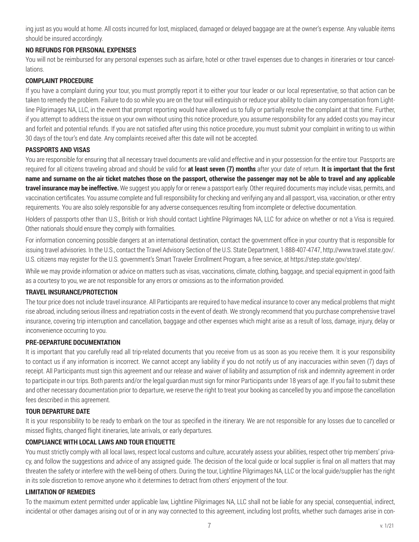ing just as you would at home. All costs incurred for lost, misplaced, damaged or delayed baggage are at the owner's expense. Any valuable items should be insured accordingly.

## **NO REFUNDS FOR PERSONAL EXPENSES**

You will not be reimbursed for any personal expenses such as airfare, hotel or other travel expenses due to changes in itineraries or tour cancellations.

## **COMPLAINT PROCEDURE**

If you have a complaint during your tour, you must promptly report it to either your tour leader or our local representative, so that action can be taken to remedy the problem. Failure to do so while you are on the tour will extinguish or reduce your ability to claim any compensation from Lightline Pilgrimages NA, LLC, in the event that prompt reporting would have allowed us to fully or partially resolve the complaint at that time. Further, if you attempt to address the issue on your own without using this notice procedure, you assume responsibility for any added costs you may incur and forfeit and potential refunds. If you are not satisfied after using this notice procedure, you must submit your complaint in writing to us within 30 days of the tour's end date. Any complaints received after this date will not be accepted.

### **PASSPORTS AND VISAS**

You are responsible for ensuring that all necessary travel documents are valid and effective and in your possession for the entire tour. Passports are required for all citizens traveling abroad and should be valid for **at least seven (7) months** after your date of return. **It is important that the first name and surname on the air ticket matches those on the passport, otherwise the passenger may not be able to travel and any applicable travel insurance may be ineffective.** We suggest you apply for or renew a passport early. Other required documents may include visas, permits, and vaccination certificates. You assume complete and full responsibility for checking and verifying any and all passport, visa, vaccination, or other entry requirements. You are also solely responsible for any adverse consequences resulting from incomplete or defective documentation.

Holders of passports other than U.S., British or Irish should contact Lightline Pilgrimages NA, LLC for advice on whether or not a Visa is required. Other nationals should ensure they comply with formalities.

For information concerning possible dangers at an international destination, contact the government office in your country that is responsible for issuing travel advisories. In the U.S., contact the Travel Advisory Section of the U.S. State Department, 1-888-407-4747, http://www.travel.state.gov/. U.S. citizens may register for the U.S. government's Smart Traveler Enrollment Program, a free service, at https://step.state.gov/step/.

While we may provide information or advice on matters such as visas, vaccinations, climate, clothing, baggage, and special equipment in good faith as a courtesy to you, we are not responsible for any errors or omissions as to the information provided.

### **TRAVEL INSURANCE/PROTECTION**

The tour price does not include travel insurance. All Participants are required to have medical insurance to cover any medical problems that might rise abroad, including serious illness and repatriation costs in the event of death. We strongly recommend that you purchase comprehensive travel insurance, covering trip interruption and cancellation, baggage and other expenses which might arise as a result of loss, damage, injury, delay or inconvenience occurring to you.

### **PRE-DEPARTURE DOCUMENTATION**

It is important that you carefully read all trip-related documents that you receive from us as soon as you receive them. It is your responsibility to contact us if any information is incorrect. We cannot accept any liability if you do not notify us of any inaccuracies within seven (7) days of receipt. All Participants must sign this agreement and our release and waiver of liability and assumption of risk and indemnity agreement in order to participate in our trips. Both parents and/or the legal guardian must sign for minor Participants under 18 years of age. If you fail to submit these and other necessary documentation prior to departure, we reserve the right to treat your booking as cancelled by you and impose the cancellation fees described in this agreement.

### **TOUR DEPARTURE DATE**

It is your responsibility to be ready to embark on the tour as specified in the itinerary. We are not responsible for any losses due to cancelled or missed flights, changed flight itineraries, late arrivals, or early departures.

# **COMPLIANCE WITH LOCAL LAWS AND TOUR ETIQUETTE**

You must strictly comply with all local laws, respect local customs and culture, accurately assess your abilities, respect other trip members' privacy, and follow the suggestions and advice of any assigned guide. The decision of the local guide or local supplier is final on all matters that may threaten the safety or interfere with the well-being of others. During the tour, Lightline Pilgrimages NA, LLC or the local guide/supplier has the right in its sole discretion to remove anyone who it determines to detract from others' enjoyment of the tour.

### **LIMITATION OF REMEDIES**

To the maximum extent permitted under applicable law, Lightline Pilgrimages NA, LLC shall not be liable for any special, consequential, indirect, incidental or other damages arising out of or in any way connected to this agreement, including lost profits, whether such damages arise in con